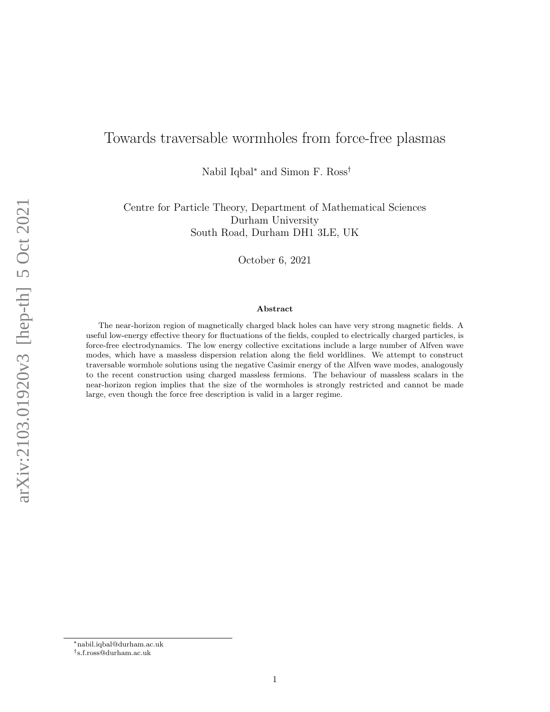# Towards traversable wormholes from force-free plasmas

Nabil Iqbal<sup>∗</sup> and Simon F. Ross†

Centre for Particle Theory, Department of Mathematical Sciences Durham University South Road, Durham DH1 3LE, UK

October 6, 2021

#### Abstract

The near-horizon region of magnetically charged black holes can have very strong magnetic fields. A useful low-energy effective theory for fluctuations of the fields, coupled to electrically charged particles, is force-free electrodynamics. The low energy collective excitations include a large number of Alfven wave modes, which have a massless dispersion relation along the field worldlines. We attempt to construct traversable wormhole solutions using the negative Casimir energy of the Alfven wave modes, analogously to the recent construction using charged massless fermions. The behaviour of massless scalars in the near-horizon region implies that the size of the wormholes is strongly restricted and cannot be made large, even though the force free description is valid in a larger regime.

arXiv:2103.01920v3 [hep-th] 5 Oct 2021 arXiv:2103.01920v3 [hep-th] 5 Oct 2021

<sup>∗</sup>nabil.iqbal@durham.ac.uk

<sup>†</sup> s.f.ross@durham.ac.uk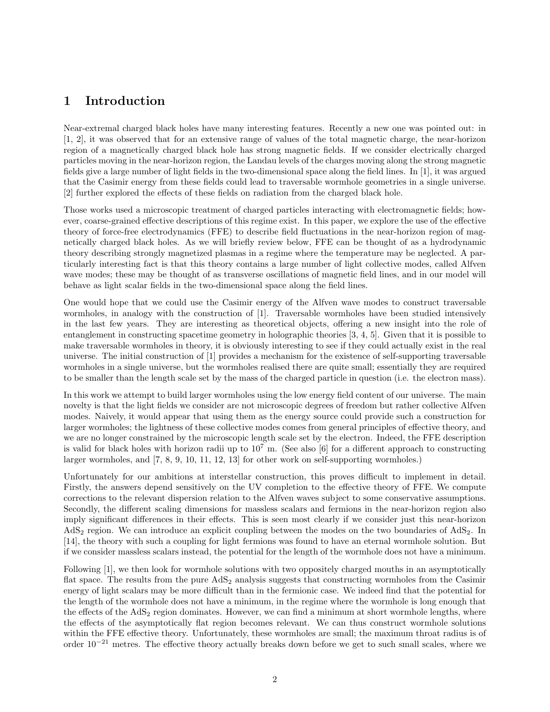# 1 Introduction

Near-extremal charged black holes have many interesting features. Recently a new one was pointed out: in [1, 2], it was observed that for an extensive range of values of the total magnetic charge, the near-horizon region of a magnetically charged black hole has strong magnetic fields. If we consider electrically charged particles moving in the near-horizon region, the Landau levels of the charges moving along the strong magnetic fields give a large number of light fields in the two-dimensional space along the field lines. In [1], it was argued that the Casimir energy from these fields could lead to traversable wormhole geometries in a single universe. [2] further explored the effects of these fields on radiation from the charged black hole.

Those works used a microscopic treatment of charged particles interacting with electromagnetic fields; however, coarse-grained effective descriptions of this regime exist. In this paper, we explore the use of the effective theory of force-free electrodynamics (FFE) to describe field fluctuations in the near-horizon region of magnetically charged black holes. As we will briefly review below, FFE can be thought of as a hydrodynamic theory describing strongly magnetized plasmas in a regime where the temperature may be neglected. A particularly interesting fact is that this theory contains a large number of light collective modes, called Alfven wave modes; these may be thought of as transverse oscillations of magnetic field lines, and in our model will behave as light scalar fields in the two-dimensional space along the field lines.

One would hope that we could use the Casimir energy of the Alfven wave modes to construct traversable wormholes, in analogy with the construction of [1]. Traversable wormholes have been studied intensively in the last few years. They are interesting as theoretical objects, offering a new insight into the role of entanglement in constructing spacetime geometry in holographic theories [3, 4, 5]. Given that it is possible to make traversable wormholes in theory, it is obviously interesting to see if they could actually exist in the real universe. The initial construction of [1] provides a mechanism for the existence of self-supporting traversable wormholes in a single universe, but the wormholes realised there are quite small; essentially they are required to be smaller than the length scale set by the mass of the charged particle in question (i.e. the electron mass).

In this work we attempt to build larger wormholes using the low energy field content of our universe. The main novelty is that the light fields we consider are not microscopic degrees of freedom but rather collective Alfven modes. Naively, it would appear that using them as the energy source could provide such a construction for larger wormholes; the lightness of these collective modes comes from general principles of effective theory, and we are no longer constrained by the microscopic length scale set by the electron. Indeed, the FFE description is valid for black holes with horizon radii up to  $10^7$  m. (See also [6] for a different approach to constructing larger wormholes, and [7, 8, 9, 10, 11, 12, 13] for other work on self-supporting wormholes.)

Unfortunately for our ambitions at interstellar construction, this proves difficult to implement in detail. Firstly, the answers depend sensitively on the UV completion to the effective theory of FFE. We compute corrections to the relevant dispersion relation to the Alfven waves subject to some conservative assumptions. Secondly, the different scaling dimensions for massless scalars and fermions in the near-horizon region also imply significant differences in their effects. This is seen most clearly if we consider just this near-horizon  $AdS<sub>2</sub>$  region. We can introduce an explicit coupling between the modes on the two boundaries of  $AdS<sub>2</sub>$ . In [14], the theory with such a coupling for light fermions was found to have an eternal wormhole solution. But if we consider massless scalars instead, the potential for the length of the wormhole does not have a minimum.

Following [1], we then look for wormhole solutions with two oppositely charged mouths in an asymptotically flat space. The results from the pure  $AdS_2$  analysis suggests that constructing wormholes from the Casimir energy of light scalars may be more difficult than in the fermionic case. We indeed find that the potential for the length of the wormhole does not have a minimum, in the regime where the wormhole is long enough that the effects of the  $AdS<sub>2</sub>$  region dominates. However, we can find a minimum at short wormhole lengths, where the effects of the asymptotically flat region becomes relevant. We can thus construct wormhole solutions within the FFE effective theory. Unfortunately, these wormholes are small; the maximum throat radius is of order 10<sup>−</sup><sup>21</sup> metres. The effective theory actually breaks down before we get to such small scales, where we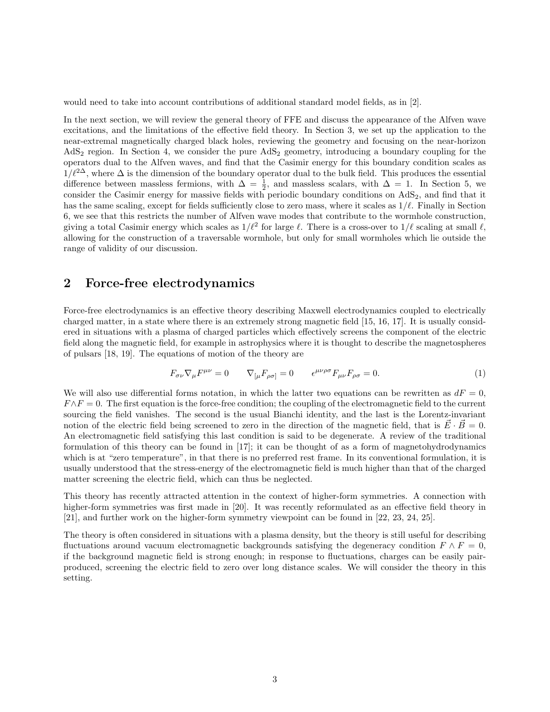would need to take into account contributions of additional standard model fields, as in [2].

In the next section, we will review the general theory of FFE and discuss the appearance of the Alfven wave excitations, and the limitations of the effective field theory. In Section 3, we set up the application to the near-extremal magnetically charged black holes, reviewing the geometry and focusing on the near-horizon  $AdS<sub>2</sub>$  region. In Section 4, we consider the pure  $AdS<sub>2</sub>$  geometry, introducing a boundary coupling for the operators dual to the Alfven waves, and find that the Casimir energy for this boundary condition scales as  $1/\ell^{2\Delta}$ , where  $\Delta$  is the dimension of the boundary operator dual to the bulk field. This produces the essential difference between massless fermions, with  $\Delta = \frac{1}{2}$ , and massless scalars, with  $\Delta = 1$ . In Section 5, we consider the Casimir energy for massive fields with periodic boundary conditions on  $AdS<sub>2</sub>$ , and find that it has the same scaling, except for fields sufficiently close to zero mass, where it scales as  $1/\ell$ . Finally in Section 6, we see that this restricts the number of Alfven wave modes that contribute to the wormhole construction, giving a total Casimir energy which scales as  $1/\ell^2$  for large  $\ell$ . There is a cross-over to  $1/\ell$  scaling at small  $\ell$ , allowing for the construction of a traversable wormhole, but only for small wormholes which lie outside the range of validity of our discussion.

## 2 Force-free electrodynamics

Force-free electrodynamics is an effective theory describing Maxwell electrodynamics coupled to electrically charged matter, in a state where there is an extremely strong magnetic field [15, 16, 17]. It is usually considered in situations with a plasma of charged particles which effectively screens the component of the electric field along the magnetic field, for example in astrophysics where it is thought to describe the magnetospheres of pulsars [18, 19]. The equations of motion of the theory are

$$
F_{\sigma\nu}\nabla_{\mu}F^{\mu\nu} = 0 \qquad \nabla_{[\mu}F_{\rho\sigma]} = 0 \qquad \epsilon^{\mu\nu\rho\sigma}F_{\mu\nu}F_{\rho\sigma} = 0. \tag{1}
$$

We will also use differential forms notation, in which the latter two equations can be rewritten as  $dF = 0$ ,  $F \wedge F = 0$ . The first equation is the force-free condition; the coupling of the electromagnetic field to the current sourcing the field vanishes. The second is the usual Bianchi identity, and the last is the Lorentz-invariant notion of the electric field being screened to zero in the direction of the magnetic field, that is  $\vec{E} \cdot \vec{B} = 0$ . An electromagnetic field satisfying this last condition is said to be degenerate. A review of the traditional formulation of this theory can be found in [17]; it can be thought of as a form of magnetohydrodynamics which is at "zero temperature", in that there is no preferred rest frame. In its conventional formulation, it is usually understood that the stress-energy of the electromagnetic field is much higher than that of the charged matter screening the electric field, which can thus be neglected.

This theory has recently attracted attention in the context of higher-form symmetries. A connection with higher-form symmetries was first made in [20]. It was recently reformulated as an effective field theory in [21], and further work on the higher-form symmetry viewpoint can be found in [22, 23, 24, 25].

The theory is often considered in situations with a plasma density, but the theory is still useful for describing fluctuations around vacuum electromagnetic backgrounds satisfying the degeneracy condition  $F \wedge F = 0$ , if the background magnetic field is strong enough; in response to fluctuations, charges can be easily pairproduced, screening the electric field to zero over long distance scales. We will consider the theory in this setting.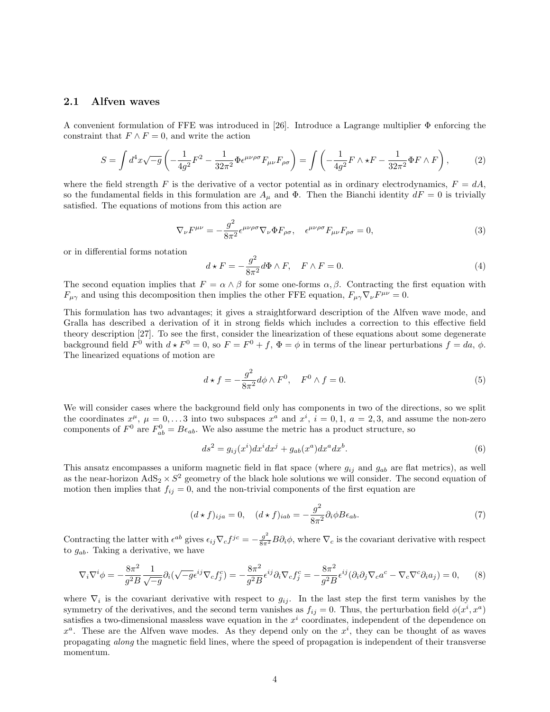#### 2.1 Alfven waves

A convenient formulation of FFE was introduced in [26]. Introduce a Lagrange multiplier Φ enforcing the constraint that  $F \wedge F = 0$ , and write the action

$$
S = \int d^4x \sqrt{-g} \left( -\frac{1}{4g^2} F^2 - \frac{1}{32\pi^2} \Phi \epsilon^{\mu\nu\rho\sigma} F_{\mu\nu} F_{\rho\sigma} \right) = \int \left( -\frac{1}{4g^2} F \wedge \star F - \frac{1}{32\pi^2} \Phi F \wedge F \right),\tag{2}
$$

where the field strength F is the derivative of a vector potential as in ordinary electrodynamics,  $F = dA$ , so the fundamental fields in this formulation are  $A_\mu$  and  $\Phi$ . Then the Bianchi identity  $dF = 0$  is trivially satisfied. The equations of motions from this action are

$$
\nabla_{\nu}F^{\mu\nu} = -\frac{g^2}{8\pi^2} \epsilon^{\mu\nu\rho\sigma} \nabla_{\nu} \Phi F_{\rho\sigma}, \quad \epsilon^{\mu\nu\rho\sigma} F_{\mu\nu} F_{\rho\sigma} = 0,
$$
\n(3)

or in differential forms notation

$$
d \star F = -\frac{g^2}{8\pi^2} d\Phi \wedge F, \quad F \wedge F = 0.
$$
 (4)

The second equation implies that  $F = \alpha \wedge \beta$  for some one-forms  $\alpha, \beta$ . Contracting the first equation with  $F_{\mu\gamma}$  and using this decomposition then implies the other FFE equation,  $F_{\mu\gamma}\nabla_{\nu}F^{\mu\nu} = 0$ .

This formulation has two advantages; it gives a straightforward description of the Alfven wave mode, and Gralla has described a derivation of it in strong fields which includes a correction to this effective field theory description [27]. To see the first, consider the linearization of these equations about some degenerate background field  $F^0$  with  $d \star F^0 = 0$ , so  $F = F^0 + f$ ,  $\Phi = \phi$  in terms of the linear perturbations  $f = da$ ,  $\phi$ . The linearized equations of motion are

$$
d \star f = -\frac{g^2}{8\pi^2} d\phi \wedge F^0, \quad F^0 \wedge f = 0.
$$
 (5)

We will consider cases where the background field only has components in two of the directions, so we split the coordinates  $x^{\mu}$ ,  $\mu = 0,...3$  into two subspaces  $x^{a}$  and  $x^{i}$ ,  $i = 0,1, a = 2,3$ , and assume the non-zero components of  $F^0$  are  $F^0_{ab} = B\epsilon_{ab}$ . We also assume the metric has a product structure, so

$$
ds2 = gij(xi)dxidxj + gab(xa)dxadxb.
$$
 (6)

This ansatz encompasses a uniform magnetic field in flat space (where  $g_{ij}$  and  $g_{ab}$  are flat metrics), as well as the near-horizon  $AdS_2 \times S^2$  geometry of the black hole solutions we will consider. The second equation of motion then implies that  $f_{ij} = 0$ , and the non-trivial components of the first equation are

$$
(d * f)_{ija} = 0, \quad (d * f)_{iab} = -\frac{g^2}{8\pi^2} \partial_i \phi B \epsilon_{ab}.
$$
 (7)

Contracting the latter with  $\epsilon^{ab}$  gives  $\epsilon_{ij}\nabla_c f^{jc} = -\frac{g^2}{8\pi^2}B\partial_i\phi$ , where  $\nabla_c$  is the covariant derivative with respect to  $g_{ab}$ . Taking a derivative, we have

$$
\nabla_i \nabla^i \phi = -\frac{8\pi^2}{g^2 B} \frac{1}{\sqrt{-g}} \partial_i (\sqrt{-g} \epsilon^{ij} \nabla_c f_j^c) = -\frac{8\pi^2}{g^2 B} \epsilon^{ij} \partial_i \nabla_c f_j^c = -\frac{8\pi^2}{g^2 B} \epsilon^{ij} (\partial_i \partial_j \nabla_c a^c - \nabla_c \nabla^c \partial_i a_j) = 0, \tag{8}
$$

where  $\nabla_i$  is the covariant derivative with respect to  $g_{ij}$ . In the last step the first term vanishes by the symmetry of the derivatives, and the second term vanishes as  $f_{ij} = 0$ . Thus, the perturbation field  $\phi(x^i, x^a)$ satisfies a two-dimensional massless wave equation in the  $x^i$  coordinates, independent of the dependence on  $x^a$ . These are the Alfven wave modes. As they depend only on the  $x^i$ , they can be thought of as waves propagating along the magnetic field lines, where the speed of propagation is independent of their transverse momentum.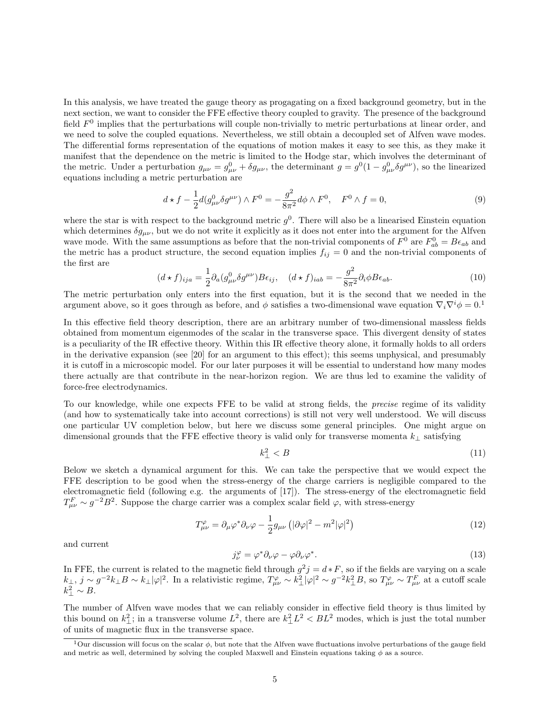In this analysis, we have treated the gauge theory as progagating on a fixed background geometry, but in the next section, we want to consider the FFE effective theory coupled to gravity. The presence of the background field  $F<sup>0</sup>$  implies that the perturbations will couple non-trivially to metric perturbations at linear order, and we need to solve the coupled equations. Nevertheless, we still obtain a decoupled set of Alfven wave modes. The differential forms representation of the equations of motion makes it easy to see this, as they make it manifest that the dependence on the metric is limited to the Hodge star, which involves the determinant of the metric. Under a perturbation  $g_{\mu\nu} = g_{\mu\nu}^0 + \delta g_{\mu\nu}$ , the determinant  $g = g^0 (1 - g_{\mu\nu}^0 \delta g^{\mu\nu})$ , so the linearized equations including a metric perturbation are

$$
d \star f - \frac{1}{2} d(g_{\mu\nu}^0 \delta g^{\mu\nu}) \wedge F^0 = -\frac{g^2}{8\pi^2} d\phi \wedge F^0, \quad F^0 \wedge f = 0,
$$
\n(9)

where the star is with respect to the background metric  $g^0$ . There will also be a linearised Einstein equation which determines  $\delta g_{\mu\nu}$ , but we do not write it explicitly as it does not enter into the argument for the Alfven wave mode. With the same assumptions as before that the non-trivial components of  $F^0$  are  $F^0_{ab} = B\epsilon_{ab}$  and the metric has a product structure, the second equation implies  $f_{ij} = 0$  and the non-trivial components of the first are

$$
(d*f)_{ija} = \frac{1}{2}\partial_a(g_{\mu\nu}^0 \delta g^{\mu\nu})B\epsilon_{ij}, \quad (d*f)_{iab} = -\frac{g^2}{8\pi^2}\partial_i\phi B\epsilon_{ab}.
$$
 (10)

The metric perturbation only enters into the first equation, but it is the second that we needed in the argument above, so it goes through as before, and  $\phi$  satisfies a two-dimensional wave equation  $\nabla_i \nabla^i \phi = 0$ .

In this effective field theory description, there are an arbitrary number of two-dimensional massless fields obtained from momentum eigenmodes of the scalar in the transverse space. This divergent density of states is a peculiarity of the IR effective theory. Within this IR effective theory alone, it formally holds to all orders in the derivative expansion (see [20] for an argument to this effect); this seems unphysical, and presumably it is cutoff in a microscopic model. For our later purposes it will be essential to understand how many modes there actually are that contribute in the near-horizon region. We are thus led to examine the validity of force-free electrodynamics.

To our knowledge, while one expects FFE to be valid at strong fields, the precise regime of its validity (and how to systematically take into account corrections) is still not very well understood. We will discuss one particular UV completion below, but here we discuss some general principles. One might argue on dimensional grounds that the FFE effective theory is valid only for transverse momenta  $k_{\perp}$  satisfying

$$
k_{\perp}^2 < B \tag{11}
$$

Below we sketch a dynamical argument for this. We can take the perspective that we would expect the FFE description to be good when the stress-energy of the charge carriers is negligible compared to the electromagnetic field (following e.g. the arguments of [17]). The stress-energy of the electromagnetic field  $T_{\mu\nu}^F \sim g^{-2}B^2$ . Suppose the charge carrier was a complex scalar field  $\varphi$ , with stress-energy

$$
T^{\varphi}_{\mu\nu} = \partial_{\mu}\varphi^* \partial_{\nu}\varphi - \frac{1}{2}g_{\mu\nu} \left( |\partial\varphi|^2 - m^2|\varphi|^2 \right) \tag{12}
$$

and current

$$
j_{\nu}^{\varphi} = \varphi^* \partial_{\nu} \varphi - \varphi \partial_{\nu} \varphi^*.
$$
 (13)

In FFE, the current is related to the magnetic field through  $g^2 j = d * F$ , so if the fields are varying on a scale  $k_{\perp}$ ,  $j \sim g^{-2} k_{\perp} B \sim k_{\perp} |\varphi|^2$ . In a relativistic regime,  $T^{\varphi}_{\mu\nu} \sim k_{\perp}^2 |\varphi|^2 \sim g^{-2} k_{\perp}^2 B$ , so  $T^{\varphi}_{\mu\nu} \sim T^F_{\mu\nu}$  at a cutoff scale  $k_{\perp}^2 \sim B$ .

The number of Alfven wave modes that we can reliably consider in effective field theory is thus limited by this bound on  $k_{\perp}^2$ ; in a transverse volume  $L^2$ , there are  $k_{\perp}^2 L^2 < BL^2$  modes, which is just the total number of units of magnetic flux in the transverse space.

<sup>&</sup>lt;sup>1</sup>Our discussion will focus on the scalar  $\phi$ , but note that the Alfven wave fluctuations involve perturbations of the gauge field and metric as well, determined by solving the coupled Maxwell and Einstein equations taking  $\phi$  as a source.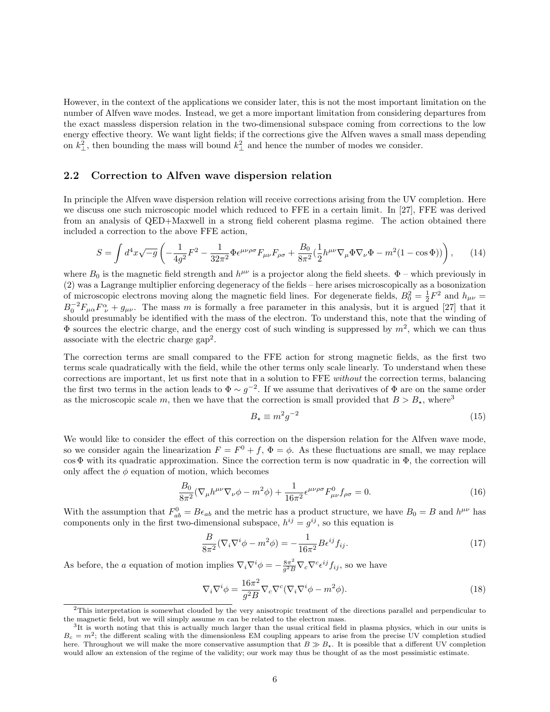However, in the context of the applications we consider later, this is not the most important limitation on the number of Alfven wave modes. Instead, we get a more important limitation from considering departures from the exact massless dispersion relation in the two-dimensional subspace coming from corrections to the low energy effective theory. We want light fields; if the corrections give the Alfven waves a small mass depending on  $k_{\perp}^2$ , then bounding the mass will bound  $k_{\perp}^2$  and hence the number of modes we consider.

#### 2.2 Correction to Alfven wave dispersion relation

In principle the Alfven wave dispersion relation will receive corrections arising from the UV completion. Here we discuss one such microscopic model which reduced to FFE in a certain limit. In [27], FFE was derived from an analysis of QED+Maxwell in a strong field coherent plasma regime. The action obtained there included a correction to the above FFE action,

$$
S = \int d^4x \sqrt{-g} \left( -\frac{1}{4g^2} F^2 - \frac{1}{32\pi^2} \Phi \epsilon^{\mu\nu\rho\sigma} F_{\mu\nu} F_{\rho\sigma} + \frac{B_0}{8\pi^2} (\frac{1}{2} h^{\mu\nu} \nabla_{\mu} \Phi \nabla_{\nu} \Phi - m^2 (1 - \cos \Phi)) \right), \tag{14}
$$

where  $B_0$  is the magnetic field strength and  $h^{\mu\nu}$  is a projector along the field sheets.  $\Phi$  – which previously in (2) was a Lagrange multiplier enforcing degeneracy of the fields – here arises microscopically as a bosonization of microscopic electrons moving along the magnetic field lines. For degenerate fields,  $B_0^2 = \frac{1}{2}F^2$  and  $h_{\mu\nu} =$  $B_0^{-2}F_{\mu\alpha}F_{\nu}^{\alpha}+g_{\mu\nu}$ . The mass m is formally a free parameter in this analysis, but it is argued [27] that it should presumably be identified with the mass of the electron. To understand this, note that the winding of  $\Phi$  sources the electric charge, and the energy cost of such winding is suppressed by  $m^2$ , which we can thus associate with the electric charge gap<sup>2</sup> .

The correction terms are small compared to the FFE action for strong magnetic fields, as the first two terms scale quadratically with the field, while the other terms only scale linearly. To understand when these corrections are important, let us first note that in a solution to FFE without the correction terms, balancing the first two terms in the action leads to  $\Phi \sim g^{-2}$ . If we assume that derivatives of  $\Phi$  are on the same order as the microscopic scale m, then we have that the correction is small provided that  $B > B_{\star}$ , where<sup>3</sup>

$$
B_{\star} \equiv m^2 g^{-2} \tag{15}
$$

We would like to consider the effect of this correction on the dispersion relation for the Alfven wave mode, so we consider again the linearization  $F = F^0 + f$ ,  $\Phi = \phi$ . As these fluctuations are small, we may replace  $\cos \Phi$  with its quadratic approximation. Since the correction term is now quadratic in  $\Phi$ , the correction will only affect the  $\phi$  equation of motion, which becomes

$$
\frac{B_0}{8\pi^2} (\nabla_{\mu} h^{\mu\nu} \nabla_{\nu} \phi - m^2 \phi) + \frac{1}{16\pi^2} \epsilon^{\mu\nu\rho\sigma} F^0_{\mu\nu} f_{\rho\sigma} = 0.
$$
 (16)

With the assumption that  $F_{ab}^0 = B\epsilon_{ab}$  and the metric has a product structure, we have  $B_0 = B$  and  $h^{\mu\nu}$  has components only in the first two-dimensional subspace,  $h^{ij} = g^{ij}$ , so this equation is

$$
\frac{B}{8\pi^2}(\nabla_i\nabla^i\phi - m^2\phi) = -\frac{1}{16\pi^2}B\epsilon^{ij}f_{ij}.
$$
\n(17)

As before, the a equation of motion implies  $\nabla_i \nabla^i \phi = -\frac{8\pi^2}{a^2 E}$  $\frac{8\pi^2}{g^2B}\nabla_c\nabla^c\epsilon^{ij}f_{ij}$ , so we have

$$
\nabla_i \nabla^i \phi = \frac{16\pi^2}{g^2 B} \nabla_c \nabla^c (\nabla_i \nabla^i \phi - m^2 \phi).
$$
 (18)

 $2$ This interpretation is somewhat clouded by the very anisotropic treatment of the directions parallel and perpendicular to the magnetic field, but we will simply assume  $m$  can be related to the electron mass.

<sup>&</sup>lt;sup>3</sup>It is worth noting that this is actually much larger than the usual critical field in plasma physics, which in our units is  $B_c = m^2$ ; the different scaling with the dimensionless EM coupling appears to arise from the precise UV completion studied here. Throughout we will make the more conservative assumption that  $B \gg B_{\star}$ . It is possible that a different UV completion would allow an extension of the regime of the validity; our work may thus be thought of as the most pessimistic estimate.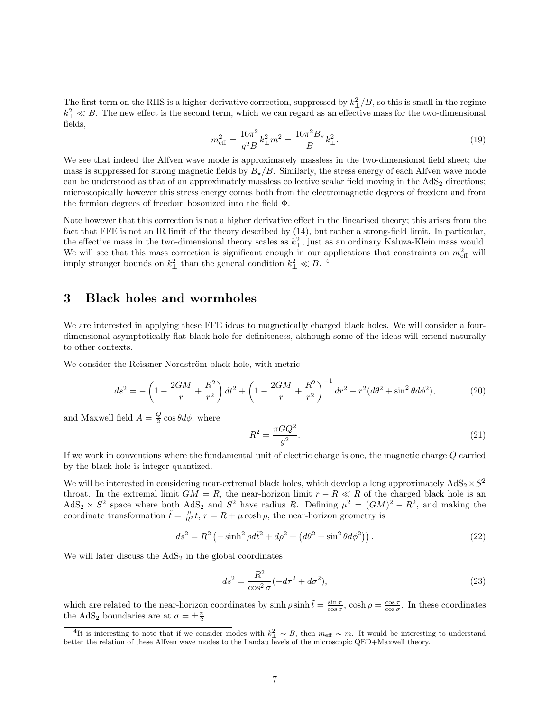The first term on the RHS is a higher-derivative correction, suppressed by  $k_{\perp}^2/B$ , so this is small in the regime  $k_{\perp}^2 \ll B$ . The new effect is the second term, which we can regard as an effective mass for the two-dimensional fields,

$$
m_{\text{eff}}^2 = \frac{16\pi^2}{g^2 B} k_{\perp}^2 m^2 = \frac{16\pi^2 B_\star}{B} k_{\perp}^2.
$$
 (19)

We see that indeed the Alfven wave mode is approximately massless in the two-dimensional field sheet; the mass is suppressed for strong magnetic fields by  $B_{\star}/B$ . Similarly, the stress energy of each Alfven wave mode can be understood as that of an approximately massless collective scalar field moving in the  $AdS<sub>2</sub>$  directions; microscopically however this stress energy comes both from the electromagnetic degrees of freedom and from the fermion degrees of freedom bosonized into the field Φ.

Note however that this correction is not a higher derivative effect in the linearised theory; this arises from the fact that FFE is not an IR limit of the theory described by (14), but rather a strong-field limit. In particular, the effective mass in the two-dimensional theory scales as  $k_{\perp}^2$ , just as an ordinary Kaluza-Klein mass would. We will see that this mass correction is significant enough in our applications that constraints on  $m_{\text{eff}}^2$  will imply stronger bounds on  $k_{\perp}^2$  than the general condition  $k_{\perp}^2 \ll B$ .<sup>4</sup>

### 3 Black holes and wormholes

We are interested in applying these FFE ideas to magnetically charged black holes. We will consider a fourdimensional asymptotically flat black hole for definiteness, although some of the ideas will extend naturally to other contexts.

We consider the Reissner-Nordström black hole, with metric

$$
ds^{2} = -\left(1 - \frac{2GM}{r} + \frac{R^{2}}{r^{2}}\right)dt^{2} + \left(1 - \frac{2GM}{r} + \frac{R^{2}}{r^{2}}\right)^{-1}dr^{2} + r^{2}(d\theta^{2} + \sin^{2}\theta d\phi^{2}),\tag{20}
$$

and Maxwell field  $A = \frac{Q}{2} \cos \theta d\phi$ , where

$$
R^2 = \frac{\pi G Q^2}{g^2}.\tag{21}
$$

If we work in conventions where the fundamental unit of electric charge is one, the magnetic charge Q carried by the black hole is integer quantized.

We will be interested in considering near-extremal black holes, which develop a long approximately  $AdS_2 \times S^2$ throat. In the extremal limit  $GM = R$ , the near-horizon limit  $r - R \ll R$  of the charged black hole is an  $AdS_2 \times S^2$  space where both  $AdS_2$  and  $S^2$  have radius R. Defining  $\mu^2 = (GM)^2 - R^2$ , and making the coordinate transformation  $\tilde{t} = \frac{\mu}{R^2} t$ ,  $r = R + \mu \cosh \rho$ , the near-horizon geometry is

$$
ds^{2} = R^{2} \left( -\sinh^{2} \rho d\tilde{t}^{2} + d\rho^{2} + (d\theta^{2} + \sin^{2} \theta d\phi^{2}) \right). \tag{22}
$$

We will later discuss the  $AdS<sub>2</sub>$  in the global coordinates

$$
ds^{2} = \frac{R^{2}}{\cos^{2} \sigma} (-d\tau^{2} + d\sigma^{2}),
$$
\n(23)

which are related to the near-horizon coordinates by  $\sinh \rho \sinh \tilde{t} = \frac{\sin \tau}{\cos \sigma}$ ,  $\cosh \rho = \frac{\cos \tau}{\cos \sigma}$ . In these coordinates the AdS<sub>2</sub> boundaries are at  $\sigma = \pm \frac{\pi}{2}$ .

<sup>&</sup>lt;sup>4</sup>It is interesting to note that if we consider modes with  $k_{\perp}^2 \sim B$ , then  $m_{\text{eff}} \sim m$ . It would be interesting to understand better the relation of these Alfven wave modes to the Landau levels of the microscopic QED+Maxwell theory.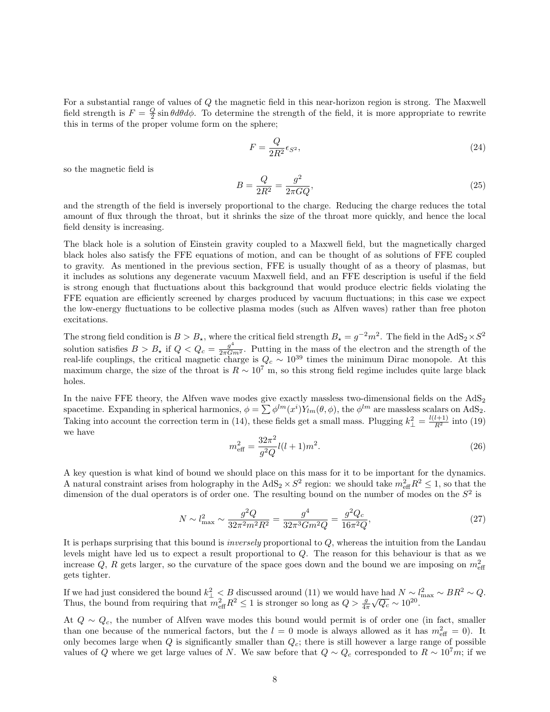For a substantial range of values of Q the magnetic field in this near-horizon region is strong. The Maxwell field strength is  $F = \frac{Q}{2} \sin \theta d\theta d\phi$ . To determine the strength of the field, it is more appropriate to rewrite this in terms of the proper volume form on the sphere;

$$
F = \frac{Q}{2R^2} \epsilon_{S^2},\tag{24}
$$

so the magnetic field is

$$
B = \frac{Q}{2R^2} = \frac{g^2}{2\pi G Q},\tag{25}
$$

and the strength of the field is inversely proportional to the charge. Reducing the charge reduces the total amount of flux through the throat, but it shrinks the size of the throat more quickly, and hence the local field density is increasing.

The black hole is a solution of Einstein gravity coupled to a Maxwell field, but the magnetically charged black holes also satisfy the FFE equations of motion, and can be thought of as solutions of FFE coupled to gravity. As mentioned in the previous section, FFE is usually thought of as a theory of plasmas, but it includes as solutions any degenerate vacuum Maxwell field, and an FFE description is useful if the field is strong enough that fluctuations about this background that would produce electric fields violating the FFE equation are efficiently screened by charges produced by vacuum fluctuations; in this case we expect the low-energy fluctuations to be collective plasma modes (such as Alfven waves) rather than free photon excitations.

The strong field condition is  $B > B_{\star}$ , where the critical field strength  $B_{\star} = g^{-2}m^2$ . The field in the  $AdS_2 \times S^2$ solution satisfies  $B > B_*$  if  $Q < Q_c = \frac{g^4}{2\pi G m^2}$ . Putting in the mass of the electron and the strength of the real-life couplings, the critical magnetic charge is  $Q_c \sim 10^{39}$  times the minimum Dirac monopole. At this maximum charge, the size of the throat is  $R \sim 10^7$  m, so this strong field regime includes quite large black holes.

In the naive FFE theory, the Alfven wave modes give exactly massless two-dimensional fields on the  $AdS_2$ spacetime. Expanding in spherical harmonics,  $\phi = \sum \phi^{lm}(x^i) Y_{lm}(\theta, \phi)$ , the  $\phi^{lm}$  are massless scalars on AdS<sub>2</sub>. Taking into account the correction term in (14), these fields get a small mass. Plugging  $k_{\perp}^2 = \frac{l(l+1)}{R^2}$  into (19) we have

$$
m_{\text{eff}}^2 = \frac{32\pi^2}{g^2 Q} l(l+1)m^2.
$$
\n(26)

A key question is what kind of bound we should place on this mass for it to be important for the dynamics. A natural constraint arises from holography in the  $AdS_2 \times S^2$  region: we should take  $m_{\text{eff}}^2 R^2 \leq 1$ , so that the dimension of the dual operators is of order one. The resulting bound on the number of modes on the  $S^2$  is

$$
N \sim l_{\text{max}}^2 \sim \frac{g^2 Q}{32\pi^2 m^2 R^2} = \frac{g^4}{32\pi^3 G m^2 Q} = \frac{g^2 Q_c}{16\pi^2 Q},\tag{27}
$$

It is perhaps surprising that this bound is inversely proportional to Q, whereas the intuition from the Landau levels might have led us to expect a result proportional to Q. The reason for this behaviour is that as we increase Q, R gets larger, so the curvature of the space goes down and the bound we are imposing on  $m_{\text{eff}}^2$ gets tighter.

If we had just considered the bound  $k_{\perp}^2 < B$  discussed around (11) we would have had  $N \sim l_{\text{max}}^2 \sim BR^2 \sim Q$ . Thus, the bound from requiring that  $m_{\text{eff}}^2 R^2 \leq 1$  is stronger so long as  $Q > \frac{g}{4\pi}$ ve nad *i* v  $\sim l$ <br> $\sqrt{Q_c} \sim 10^{20}$ .

At  $Q \sim Q_c$ , the number of Alfven wave modes this bound would permit is of order one (in fact, smaller than one because of the numerical factors, but the  $l = 0$  mode is always allowed as it has  $m_{\text{eff}}^2 = 0$ . It only becomes large when  $Q$  is significantly smaller than  $Q_c$ ; there is still however a large range of possible values of Q where we get large values of N. We saw before that  $Q \sim Q_c$  corresponded to  $R \sim 10^7 m$ ; if we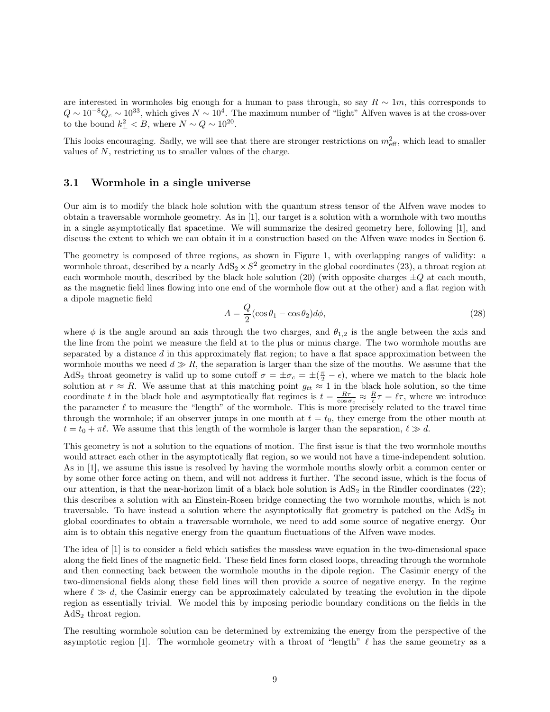are interested in wormholes big enough for a human to pass through, so say  $R \sim 1m$ , this corresponds to  $Q \sim 10^{-8} Q_c \sim 10^{33}$ , which gives  $N \sim 10^4$ . The maximum number of "light" Alfven waves is at the cross-over to the bound  $k_{\perp}^2 < B$ , where  $N \sim Q \sim 10^{20}$ .

This looks encouraging. Sadly, we will see that there are stronger restrictions on  $m_{\text{eff}}^2$ , which lead to smaller values of N, restricting us to smaller values of the charge.

#### 3.1 Wormhole in a single universe

Our aim is to modify the black hole solution with the quantum stress tensor of the Alfven wave modes to obtain a traversable wormhole geometry. As in [1], our target is a solution with a wormhole with two mouths in a single asymptotically flat spacetime. We will summarize the desired geometry here, following [1], and discuss the extent to which we can obtain it in a construction based on the Alfven wave modes in Section 6.

The geometry is composed of three regions, as shown in Figure 1, with overlapping ranges of validity: a wormhole throat, described by a nearly  $AdS_2 \times S^2$  geometry in the global coordinates (23), a throat region at each wormhole mouth, described by the black hole solution (20) (with opposite charges  $\pm Q$  at each mouth, as the magnetic field lines flowing into one end of the wormhole flow out at the other) and a flat region with a dipole magnetic field

$$
A = \frac{Q}{2}(\cos \theta_1 - \cos \theta_2)d\phi, \tag{28}
$$

where  $\phi$  is the angle around an axis through the two charges, and  $\theta_{1,2}$  is the angle between the axis and the line from the point we measure the field at to the plus or minus charge. The two wormhole mouths are separated by a distance d in this approximately flat region; to have a flat space approximation between the wormhole mouths we need  $d \gg R$ , the separation is larger than the size of the mouths. We assume that the AdS<sub>2</sub> throat geometry is valid up to some cutoff  $\sigma = \pm \sigma_c = \pm (\frac{\pi}{2} - \epsilon)$ , where we match to the black hole solution at  $r \approx R$ . We assume that at this matching point  $g_{tt} \approx 1$  in the black hole solution, so the time coordinate t in the black hole and asymptotically flat regimes is  $t = \frac{R\tau}{\cos \sigma_c} \approx \frac{R}{\epsilon} \tau = \ell \tau$ , where we introduce the parameter  $\ell$  to measure the "length" of the wormhole. This is more precisely related to the travel time through the wormhole; if an observer jumps in one mouth at  $t = t_0$ , they emerge from the other mouth at  $t = t_0 + \pi \ell$ . We assume that this length of the wormhole is larger than the separation,  $\ell \gg d$ .

This geometry is not a solution to the equations of motion. The first issue is that the two wormhole mouths would attract each other in the asymptotically flat region, so we would not have a time-independent solution. As in [1], we assume this issue is resolved by having the wormhole mouths slowly orbit a common center or by some other force acting on them, and will not address it further. The second issue, which is the focus of our attention, is that the near-horizon limit of a black hole solution is  $AdS_2$  in the Rindler coordinates (22); this describes a solution with an Einstein-Rosen bridge connecting the two wormhole mouths, which is not traversable. To have instead a solution where the asymptotically flat geometry is patched on the  $AdS<sub>2</sub>$  in global coordinates to obtain a traversable wormhole, we need to add some source of negative energy. Our aim is to obtain this negative energy from the quantum fluctuations of the Alfven wave modes.

The idea of [1] is to consider a field which satisfies the massless wave equation in the two-dimensional space along the field lines of the magnetic field. These field lines form closed loops, threading through the wormhole and then connecting back between the wormhole mouths in the dipole region. The Casimir energy of the two-dimensional fields along these field lines will then provide a source of negative energy. In the regime where  $\ell \gg d$ , the Casimir energy can be approximately calculated by treating the evolution in the dipole region as essentially trivial. We model this by imposing periodic boundary conditions on the fields in the  $AdS<sub>2</sub>$  throat region.

The resulting wormhole solution can be determined by extremizing the energy from the perspective of the asymptotic region [1]. The wormhole geometry with a throat of "length"  $\ell$  has the same geometry as a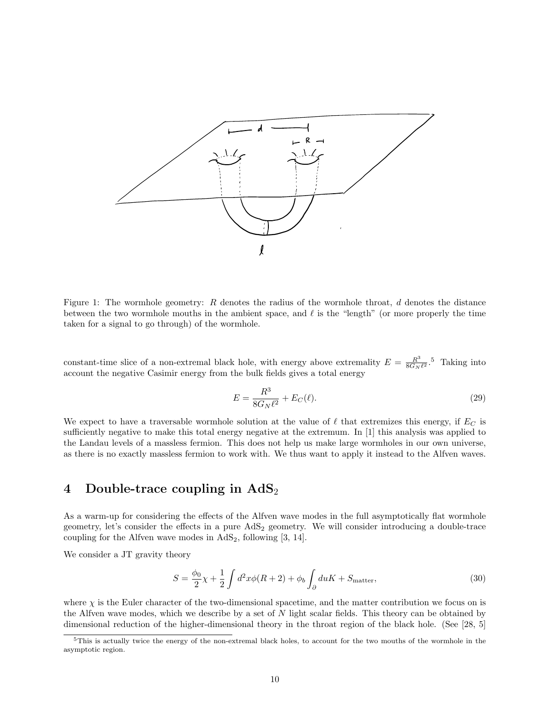

Figure 1: The wormhole geometry: R denotes the radius of the wormhole throat, d denotes the distance between the two wormhole mouths in the ambient space, and  $\ell$  is the "length" (or more properly the time taken for a signal to go through) of the wormhole.

constant-time slice of a non-extremal black hole, with energy above extremality  $E = \frac{R^3}{8G_N}$  $\frac{R^3}{8G_N \ell^2}$ .<sup>5</sup> Taking into account the negative Casimir energy from the bulk fields gives a total energy

$$
E = \frac{R^3}{8G_N\ell^2} + E_C(\ell).
$$
 (29)

We expect to have a traversable wormhole solution at the value of  $\ell$  that extremizes this energy, if  $E_C$  is sufficiently negative to make this total energy negative at the extremum. In [1] this analysis was applied to the Landau levels of a massless fermion. This does not help us make large wormholes in our own universe, as there is no exactly massless fermion to work with. We thus want to apply it instead to the Alfven waves.

### 4 Double-trace coupling in  $AdS_2$

As a warm-up for considering the effects of the Alfven wave modes in the full asymptotically flat wormhole geometry, let's consider the effects in a pure  $AdS<sub>2</sub>$  geometry. We will consider introducing a double-trace coupling for the Alfven wave modes in  $AdS_2$ , following [3, 14].

We consider a JT gravity theory

$$
S = \frac{\phi_0}{2}\chi + \frac{1}{2}\int d^2x \phi(R+2) + \phi_b \int_{\partial} du K + S_{\text{matter}},\tag{30}
$$

where  $\chi$  is the Euler character of the two-dimensional spacetime, and the matter contribution we focus on is the Alfven wave modes, which we describe by a set of  $N$  light scalar fields. This theory can be obtained by dimensional reduction of the higher-dimensional theory in the throat region of the black hole. (See [28, 5]

 $5$ This is actually twice the energy of the non-extremal black holes, to account for the two mouths of the wormhole in the asymptotic region.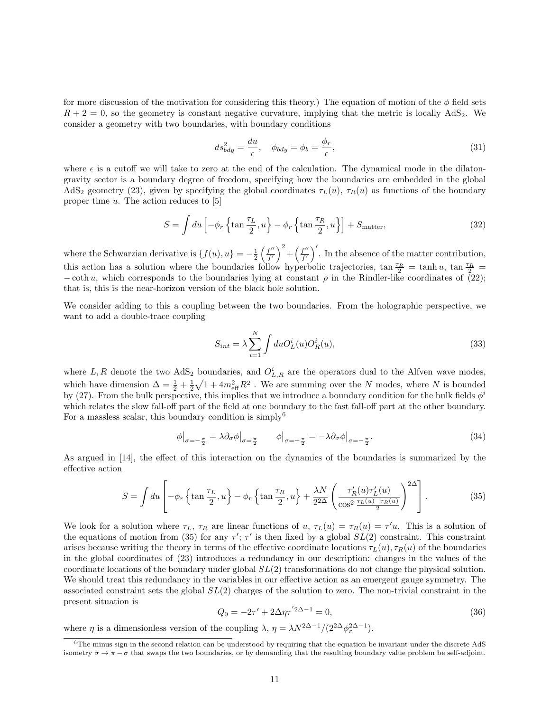for more discussion of the motivation for considering this theory.) The equation of motion of the  $\phi$  field sets  $R + 2 = 0$ , so the geometry is constant negative curvature, implying that the metric is locally AdS<sub>2</sub>. We consider a geometry with two boundaries, with boundary conditions

$$
ds_{bdy}^2 = \frac{du}{\epsilon}, \quad \phi_{bdy} = \phi_b = \frac{\phi_r}{\epsilon}, \tag{31}
$$

where  $\epsilon$  is a cutoff we will take to zero at the end of the calculation. The dynamical mode in the dilatongravity sector is a boundary degree of freedom, specifying how the boundaries are embedded in the global AdS<sub>2</sub> geometry (23), given by specifying the global coordinates  $\tau_L(u)$ ,  $\tau_R(u)$  as functions of the boundary proper time  $u$ . The action reduces to [5]

$$
S = \int du \left[ -\phi_r \left\{ \tan \frac{\tau_L}{2}, u \right\} - \phi_r \left\{ \tan \frac{\tau_R}{2}, u \right\} \right] + S_{\text{matter}}, \tag{32}
$$

where the Schwarzian derivative is  $\{f(u), u\} = -\frac{1}{2} \left( \frac{f''}{f'} \right)$  $\left(\frac{f^{\prime\prime}}{f^{\prime}}\right)^2 + \left(\frac{f^{\prime\prime}}{f^{\prime}}\right)^2$  $\int_{f'}^{f''}\right)'$ . In the absence of the matter contribution, this action has a solution where the boundaries follow hyperbolic trajectories,  $\tan \frac{\tau_R}{2} = \tanh u$ ,  $\tan \frac{\tau_R}{2} =$  $-\coth u$ , which corresponds to the boundaries lying at constant  $\rho$  in the Rindler-like coordinates of (22); that is, this is the near-horizon version of the black hole solution.

We consider adding to this a coupling between the two boundaries. From the holographic perspective, we want to add a double-trace coupling

$$
S_{int} = \lambda \sum_{i=1}^{N} \int du O_L^i(u) O_R^i(u), \qquad (33)
$$

where L, R denote the two  $AdS_2$  boundaries, and  $O_{L,R}^i$  are the operators dual to the Alfven wave modes, which have dimension  $\Delta = \frac{1}{2} + \frac{1}{2}\sqrt{1 + 4m_{\text{eff}}^2 R^2}$ . We are summing over the N modes, where N is bounded by (27). From the bulk perspective, this implies that we introduce a boundary condition for the bulk fields  $\phi^i$ which relates the slow fall-off part of the field at one boundary to the fast fall-off part at the other boundary. For a massless scalar, this boundary condition is simply<sup>6</sup>

$$
\phi\big|_{\sigma=-\frac{\pi}{2}} = \lambda \partial_{\sigma} \phi\big|_{\sigma=\frac{\pi}{2}} \qquad \phi\big|_{\sigma=+\frac{\pi}{2}} = -\lambda \partial_{\sigma} \phi\big|_{\sigma=-\frac{\pi}{2}}.
$$
\n(34)

As argued in [14], the effect of this interaction on the dynamics of the boundaries is summarized by the effective action

$$
S = \int du \left[ -\phi_r \left\{ \tan \frac{\tau_L}{2}, u \right\} - \phi_r \left\{ \tan \frac{\tau_R}{2}, u \right\} + \frac{\lambda N}{2^{2\Delta}} \left( \frac{\tau_R'(u)\tau_L'(u)}{\cos^2 \frac{\tau_L(u) - \tau_R(u)}{2}} \right)^{2\Delta} \right].
$$
 (35)

We look for a solution where  $\tau_L$ ,  $\tau_R$  are linear functions of  $u$ ,  $\tau_L(u) = \tau_R(u) = \tau' u$ . This is a solution of the equations of motion from (35) for any  $\tau'$ ;  $\tau'$  is then fixed by a global  $SL(2)$  constraint. This constraint arises because writing the theory in terms of the effective coordinate locations  $\tau_L(u)$ ,  $\tau_R(u)$  of the boundaries in the global coordinates of (23) introduces a redundancy in our description: changes in the values of the coordinate locations of the boundary under global  $SL(2)$  transformations do not change the physical solution. We should treat this redundancy in the variables in our effective action as an emergent gauge symmetry. The associated constraint sets the global  $SL(2)$  charges of the solution to zero. The non-trivial constraint in the present situation is

$$
Q_0 = -2\tau' + 2\Delta\eta\tau^{'2\Delta - 1} = 0,\tag{36}
$$

where  $\eta$  is a dimensionless version of the coupling  $\lambda$ ,  $\eta = \lambda N^{2\Delta - 1}/(2^{2\Delta}\phi_r^{2\Delta - 1})$ .

 $6$ The minus sign in the second relation can be understood by requiring that the equation be invariant under the discrete AdS isometry  $\sigma \to \pi - \sigma$  that swaps the two boundaries, or by demanding that the resulting boundary value problem be self-adjoint.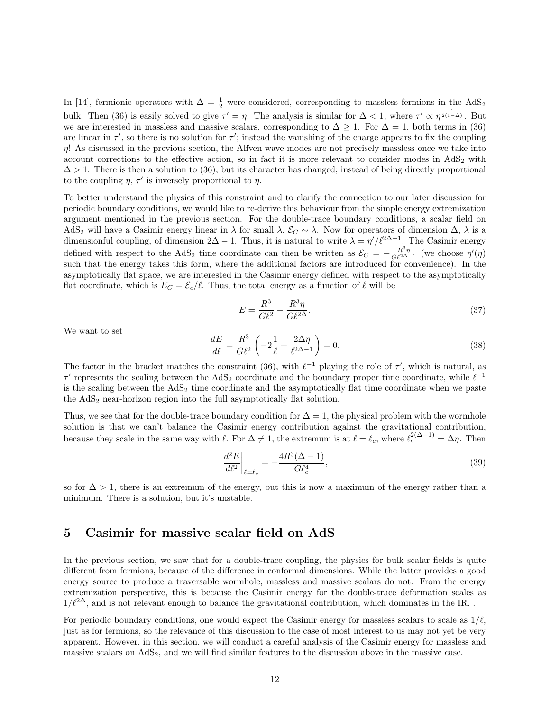In [14], fermionic operators with  $\Delta = \frac{1}{2}$  were considered, corresponding to massless fermions in the AdS<sub>2</sub> bulk. Then (36) is easily solved to give  $\tau' = \eta$ . The analysis is similar for  $\Delta < 1$ , where  $\tau' \propto \eta^{\frac{1}{2(1-\Delta)}}$ . But we are interested in massless and massive scalars, corresponding to  $\Delta \geq 1$ . For  $\Delta = 1$ , both terms in (36) are linear in  $\tau'$ , so there is no solution for  $\tau'$ ; instead the vanishing of the charge appears to fix the coupling  $\eta$ ! As discussed in the previous section, the Alfven wave modes are not precisely massless once we take into account corrections to the effective action, so in fact it is more relevant to consider modes in  $AdS_2$  with  $\Delta > 1$ . There is then a solution to (36), but its character has changed; instead of being directly proportional to the coupling  $\eta$ ,  $\tau'$  is inversely proportional to  $\eta$ .

To better understand the physics of this constraint and to clarify the connection to our later discussion for periodic boundary conditions, we would like to re-derive this behaviour from the simple energy extremization argument mentioned in the previous section. For the double-trace boundary conditions, a scalar field on AdS<sub>2</sub> will have a Casimir energy linear in  $\lambda$  for small  $\lambda$ ,  $\mathcal{E}_C \sim \lambda$ . Now for operators of dimension  $\Delta$ ,  $\lambda$  is a dimensionful coupling, of dimension  $2\Delta - 1$ . Thus, it is natural to write  $\lambda = \eta'/\ell^{2\Delta - 1}$ . The Casimir energy defined with respect to the AdS<sub>2</sub> time coordinate can then be written as  $\mathcal{E}_C = -\frac{R^3\eta}{G\ell^{2\Delta-1}}$  (we choose  $\eta'(\eta)$ ) such that the energy takes this form, where the additional factors are introduced for convenience). In the asymptotically flat space, we are interested in the Casimir energy defined with respect to the asymptotically flat coordinate, which is  $E_C = \mathcal{E}_c/\ell$ . Thus, the total energy as a function of  $\ell$  will be

$$
E = \frac{R^3}{G\ell^2} - \frac{R^3\eta}{G\ell^{2\Delta}}.\tag{37}
$$

We want to set

$$
\frac{dE}{d\ell} = \frac{R^3}{G\ell^2} \left( -2\frac{1}{\ell} + \frac{2\Delta\eta}{\ell^{2\Delta - 1}} \right) = 0.
$$
\n(38)

The factor in the bracket matches the constraint (36), with  $\ell^{-1}$  playing the role of  $\tau'$ , which is natural, as  $\tau'$  represents the scaling between the AdS<sub>2</sub> coordinate and the boundary proper time coordinate, while  $\ell^{-1}$ is the scaling between the  $AdS<sub>2</sub>$  time coordinate and the asymptotically flat time coordinate when we paste the AdS<sub>2</sub> near-horizon region into the full asymptotically flat solution.

Thus, we see that for the double-trace boundary condition for  $\Delta = 1$ , the physical problem with the wormhole solution is that we can't balance the Casimir energy contribution against the gravitational contribution, because they scale in the same way with  $\ell$ . For  $\Delta \neq 1$ , the extremum is at  $\ell = \ell_c$ , where  $\ell_c^{2(\Delta-1)} = \Delta \eta$ . Then

$$
\left. \frac{d^2 E}{d\ell^2} \right|_{\ell = \ell_c} = -\frac{4R^3 (\Delta - 1)}{G \ell_c^4},\tag{39}
$$

so for  $\Delta > 1$ , there is an extremum of the energy, but this is now a maximum of the energy rather than a minimum. There is a solution, but it's unstable.

### 5 Casimir for massive scalar field on AdS

In the previous section, we saw that for a double-trace coupling, the physics for bulk scalar fields is quite different from fermions, because of the difference in conformal dimensions. While the latter provides a good energy source to produce a traversable wormhole, massless and massive scalars do not. From the energy extremization perspective, this is because the Casimir energy for the double-trace deformation scales as  $1/\ell^{2\Delta}$ , and is not relevant enough to balance the gravitational contribution, which dominates in the IR. .

For periodic boundary conditions, one would expect the Casimir energy for massless scalars to scale as  $1/\ell$ , just as for fermions, so the relevance of this discussion to the case of most interest to us may not yet be very apparent. However, in this section, we will conduct a careful analysis of the Casimir energy for massless and massive scalars on AdS<sub>2</sub>, and we will find similar features to the discussion above in the massive case.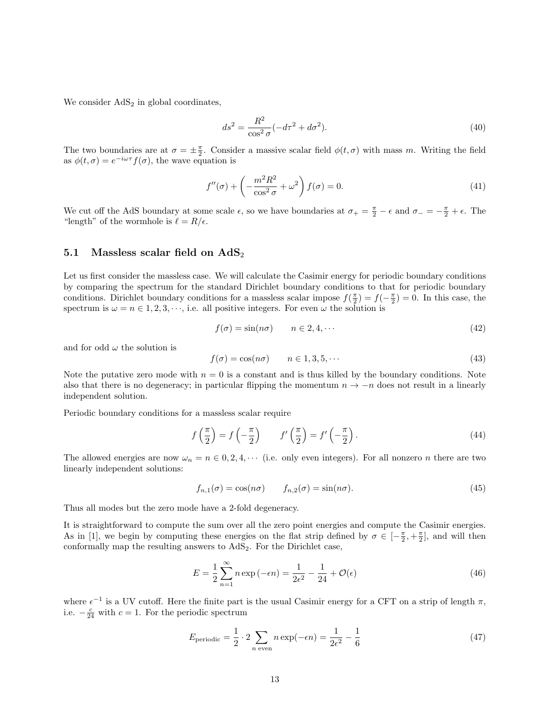We consider  $AdS<sub>2</sub>$  in global coordinates,

$$
ds^2 = \frac{R^2}{\cos^2 \sigma} (-d\tau^2 + d\sigma^2). \tag{40}
$$

The two boundaries are at  $\sigma = \pm \frac{\pi}{2}$ . Consider a massive scalar field  $\phi(t,\sigma)$  with mass m. Writing the field as  $\phi(t,\sigma) = e^{-i\omega\tau} f(\sigma)$ , the wave equation is

$$
f''(\sigma) + \left(-\frac{m^2 R^2}{\cos^2 \sigma} + \omega^2\right) f(\sigma) = 0.
$$
 (41)

We cut off the AdS boundary at some scale  $\epsilon$ , so we have boundaries at  $\sigma_+ = \frac{\pi}{2} - \epsilon$  and  $\sigma_- = -\frac{\pi}{2} + \epsilon$ . The "length" of the wormhole is  $\ell = R/\epsilon$ .

#### 5.1 Massless scalar field on  $AdS_2$

Let us first consider the massless case. We will calculate the Casimir energy for periodic boundary conditions by comparing the spectrum for the standard Dirichlet boundary conditions to that for periodic boundary conditions. Dirichlet boundary conditions for a massless scalar impose  $f(\frac{\pi}{2}) = f(-\frac{\pi}{2}) = 0$ . In this case, the spectrum is  $\omega = n \in 1, 2, 3, \dots$ , i.e. all positive integers. For even  $\omega$  the solution is

$$
f(\sigma) = \sin(n\sigma) \qquad n \in 2, 4, \cdots \tag{42}
$$

and for odd  $\omega$  the solution is

$$
f(\sigma) = \cos(n\sigma) \qquad n \in 1, 3, 5, \cdots \tag{43}
$$

Note the putative zero mode with  $n = 0$  is a constant and is thus killed by the boundary conditions. Note also that there is no degeneracy; in particular flipping the momentum  $n \to -n$  does not result in a linearly independent solution.

Periodic boundary conditions for a massless scalar require

$$
f\left(\frac{\pi}{2}\right) = f\left(-\frac{\pi}{2}\right) \qquad f'\left(\frac{\pi}{2}\right) = f'\left(-\frac{\pi}{2}\right). \tag{44}
$$

The allowed energies are now  $\omega_n = n \in \{0, 2, 4, \cdots\}$  (i.e. only even integers). For all nonzero *n* there are two linearly independent solutions:

$$
f_{n,1}(\sigma) = \cos(n\sigma) \qquad f_{n,2}(\sigma) = \sin(n\sigma). \tag{45}
$$

Thus all modes but the zero mode have a 2-fold degeneracy.

It is straightforward to compute the sum over all the zero point energies and compute the Casimir energies. As in [1], we begin by computing these energies on the flat strip defined by  $\sigma \in \left[-\frac{\pi}{2}, +\frac{\pi}{2}\right]$ , and will then conformally map the resulting answers to  $AdS_2$ . For the Dirichlet case,

$$
E = \frac{1}{2} \sum_{n=1}^{\infty} n \exp(-\epsilon n) = \frac{1}{2\epsilon^2} - \frac{1}{24} + \mathcal{O}(\epsilon)
$$
 (46)

where  $\epsilon^{-1}$  is a UV cutoff. Here the finite part is the usual Casimir energy for a CFT on a strip of length  $\pi$ , i.e.  $-\frac{c}{24}$  with  $c=1$ . For the periodic spectrum

$$
E_{\text{periodic}} = \frac{1}{2} \cdot 2 \sum_{n \text{ even}} n \exp(-\epsilon n) = \frac{1}{2\epsilon^2} - \frac{1}{6}
$$
 (47)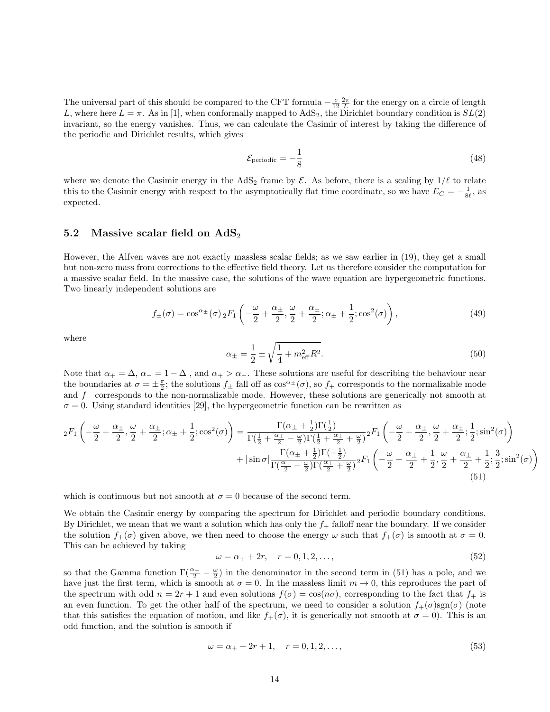The universal part of this should be compared to the CFT formula  $-\frac{c}{12}\frac{2\pi}{L}$  for the energy on a circle of length L, where here  $L = \pi$ . As in [1], when conformally mapped to AdS<sub>2</sub>, the Dirichlet boundary condition is  $SL(2)$ invariant, so the energy vanishes. Thus, we can calculate the Casimir of interest by taking the difference of the periodic and Dirichlet results, which gives

$$
\mathcal{E}_{\text{periodic}} = -\frac{1}{8} \tag{48}
$$

where we denote the Casimir energy in the AdS<sub>2</sub> frame by  $\mathcal{E}$ . As before, there is a scaling by  $1/\ell$  to relate this to the Casimir energy with respect to the asymptotically flat time coordinate, so we have  $E_C = -\frac{1}{8\ell}$ , as expected.

#### 5.2 Massive scalar field on  $AdS_2$

However, the Alfven waves are not exactly massless scalar fields; as we saw earlier in (19), they get a small but non-zero mass from corrections to the effective field theory. Let us therefore consider the computation for a massive scalar field. In the massive case, the solutions of the wave equation are hypergeometric functions. Two linearly independent solutions are

$$
f_{\pm}(\sigma) = \cos^{\alpha_{\pm}}(\sigma) \, {}_{2}F_{1}\left(-\frac{\omega}{2} + \frac{\alpha_{\pm}}{2}, \frac{\omega}{2} + \frac{\alpha_{\pm}}{2}; \alpha_{\pm} + \frac{1}{2}; \cos^{2}(\sigma)\right),\tag{49}
$$

where

$$
\alpha_{\pm} = \frac{1}{2} \pm \sqrt{\frac{1}{4} + m_{\text{eff}}^2 R^2}.
$$
\n(50)

Note that  $\alpha_+ = \Delta$ ,  $\alpha_-=1-\Delta$ , and  $\alpha_+ > \alpha_-$ . These solutions are useful for describing the behaviour near the boundaries at  $\sigma = \pm \frac{\pi}{2}$ ; the solutions  $f_{\pm}$  fall off as  $\cos^{\alpha_{\pm}}(\sigma)$ , so  $f_{+}$  corresponds to the normalizable mode and f<sup>−</sup> corresponds to the non-normalizable mode. However, these solutions are generically not smooth at  $\sigma = 0$ . Using standard identities [29], the hypergeometric function can be rewritten as

$$
{}_{2}F_{1}\left(-\frac{\omega}{2}+\frac{\alpha_{\pm}}{2},\frac{\omega}{2}+\frac{\alpha_{\pm}}{2};\alpha_{\pm}+\frac{1}{2};\cos^{2}(\sigma)\right) = \frac{\Gamma(\alpha_{\pm}+\frac{1}{2})\Gamma(\frac{1}{2})}{\Gamma(\frac{1}{2}+\frac{\alpha_{\pm}}{2}-\frac{\omega}{2})\Gamma(\frac{1}{2}+\frac{\alpha_{\pm}}{2}+\frac{\omega}{2})}{}_{2}F_{1}\left(-\frac{\omega}{2}+\frac{\alpha_{\pm}}{2},\frac{\omega}{2}+\frac{\alpha_{\pm}}{2};\frac{1}{2};\sin^{2}(\sigma)\right) +|\sin \sigma|\frac{\Gamma(\alpha_{\pm}+\frac{1}{2})\Gamma(-\frac{1}{2})}{\Gamma(\frac{\alpha_{\pm}}{2}-\frac{\omega}{2})\Gamma(\frac{\alpha_{\pm}}{2}+\frac{\omega}{2})}{}_{2}F_{1}\left(-\frac{\omega}{2}+\frac{\alpha_{\pm}}{2}+\frac{1}{2},\frac{\omega}{2}+\frac{\alpha_{\pm}}{2}+\frac{1}{2};\frac{3}{2};\sin^{2}(\sigma)\right)
$$
\n(51)

which is continuous but not smooth at  $\sigma = 0$  because of the second term.

We obtain the Casimir energy by comparing the spectrum for Dirichlet and periodic boundary conditions. By Dirichlet, we mean that we want a solution which has only the  $f_{+}$  falloff near the boundary. If we consider the solution  $f_+(\sigma)$  given above, we then need to choose the energy  $\omega$  such that  $f_+(\sigma)$  is smooth at  $\sigma = 0$ . This can be achieved by taking

$$
\omega = \alpha_+ + 2r, \quad r = 0, 1, 2, \dots,
$$
\n(52)

so that the Gamma function  $\Gamma(\frac{\alpha_+}{2}-\frac{\omega}{2})$  in the denominator in the second term in (51) has a pole, and we have just the first term, which is smooth at  $\sigma = 0$ . In the massless limit  $m \to 0$ , this reproduces the part of the spectrum with odd  $n = 2r + 1$  and even solutions  $f(\sigma) = \cos(n\sigma)$ , corresponding to the fact that  $f_+$  is an even function. To get the other half of the spectrum, we need to consider a solution  $f_+(\sigma)\text{sgn}(\sigma)$  (note that this satisfies the equation of motion, and like  $f_+(\sigma)$ , it is generically not smooth at  $\sigma = 0$ ). This is an odd function, and the solution is smooth if

$$
\omega = \alpha_+ + 2r + 1, \quad r = 0, 1, 2, \dots,
$$
\n(53)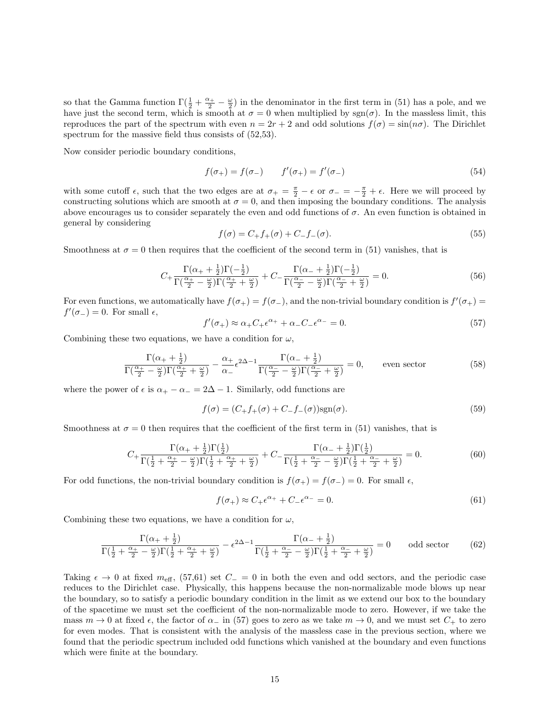so that the Gamma function  $\Gamma(\frac{1}{2} + \frac{\alpha_+}{2} - \frac{\omega}{2})$  in the denominator in the first term in (51) has a pole, and we have just the second term, which is smooth at  $\sigma = 0$  when multiplied by sgn( $\sigma$ ). In the massless limit, this reproduces the part of the spectrum with even  $n = 2r + 2$  and odd solutions  $f(\sigma) = \sin(n\sigma)$ . The Dirichlet spectrum for the massive field thus consists of  $(52,53)$ .

Now consider periodic boundary conditions,

$$
f(\sigma_{+}) = f(\sigma_{-}) \qquad f'(\sigma_{+}) = f'(\sigma_{-}) \tag{54}
$$

with some cutoff  $\epsilon$ , such that the two edges are at  $\sigma_+ = \frac{\pi}{2} - \epsilon$  or  $\sigma_- = -\frac{\pi}{2} + \epsilon$ . Here we will proceed by constructing solutions which are smooth at  $\sigma = 0$ , and then imposing the boundary conditions. The analysis above encourages us to consider separately the even and odd functions of  $\sigma$ . An even function is obtained in general by considering

$$
f(\sigma) = C_{+} f_{+}(\sigma) + C_{-} f_{-}(\sigma). \tag{55}
$$

Smoothness at  $\sigma = 0$  then requires that the coefficient of the second term in (51) vanishes, that is

$$
C_{+} \frac{\Gamma(\alpha_{+}+\frac{1}{2})\Gamma(-\frac{1}{2})}{\Gamma(\frac{\alpha_{+}}{2}-\frac{\omega}{2})\Gamma(\frac{\alpha_{+}}{2}+\frac{\omega}{2})} + C_{-} \frac{\Gamma(\alpha_{-}+\frac{1}{2})\Gamma(-\frac{1}{2})}{\Gamma(\frac{\alpha_{-}}{2}-\frac{\omega}{2})\Gamma(\frac{\alpha_{-}}{2}+\frac{\omega}{2})} = 0.
$$
\n
$$
(56)
$$

For even functions, we automatically have  $f(\sigma_+) = f(\sigma_-)$ , and the non-trivial boundary condition is  $f'(\sigma_+) =$  $f'(\sigma_-) = 0$ . For small  $\epsilon$ ,

$$
f'(\sigma_+) \approx \alpha_+ C_+ \epsilon^{\alpha_+} + \alpha_- C_- \epsilon^{\alpha_-} = 0. \tag{57}
$$

Combining these two equations, we have a condition for  $\omega$ ,

$$
\frac{\Gamma(\alpha_{+}+\frac{1}{2})}{\Gamma(\frac{\alpha_{+}}{2}-\frac{\omega}{2})\Gamma(\frac{\alpha_{+}}{2}+\frac{\omega}{2})} - \frac{\alpha_{+}}{\alpha_{-}}\epsilon^{2\Delta-1}\frac{\Gamma(\alpha_{-}+\frac{1}{2})}{\Gamma(\frac{\alpha_{-}}{2}-\frac{\omega}{2})\Gamma(\frac{\alpha_{-}}{2}+\frac{\omega}{2})} = 0, \qquad \text{even sector} \tag{58}
$$

where the power of  $\epsilon$  is  $\alpha_+ - \alpha_- = 2\Delta - 1$ . Similarly, odd functions are

$$
f(\sigma) = (C_+ f_+(\sigma) + C_- f_-(\sigma)) \text{sgn}(\sigma). \tag{59}
$$

Smoothness at  $\sigma = 0$  then requires that the coefficient of the first term in (51) vanishes, that is

$$
C_{+} \frac{\Gamma(\alpha_{+} + \frac{1}{2})\Gamma(\frac{1}{2})}{\Gamma(\frac{1}{2} + \frac{\alpha_{+}}{2} - \frac{\omega}{2})\Gamma(\frac{1}{2} + \frac{\alpha_{+}}{2} + \frac{\omega}{2})} + C_{-} \frac{\Gamma(\alpha_{-} + \frac{1}{2})\Gamma(\frac{1}{2})}{\Gamma(\frac{1}{2} + \frac{\alpha_{-}}{2} - \frac{\omega}{2})\Gamma(\frac{1}{2} + \frac{\alpha_{-}}{2} + \frac{\omega}{2})} = 0.
$$
(60)

For odd functions, the non-trivial boundary condition is  $f(\sigma_+) = f(\sigma_-) = 0$ . For small  $\epsilon$ ,

$$
f(\sigma_+) \approx C_+ \epsilon^{\alpha_+} + C_- \epsilon^{\alpha_-} = 0. \tag{61}
$$

Combining these two equations, we have a condition for  $\omega$ ,

$$
\frac{\Gamma(\alpha_{+}+\frac{1}{2})}{\Gamma(\frac{1}{2}+\frac{\alpha_{+}}{2}-\frac{\omega}{2})\Gamma(\frac{1}{2}+\frac{\alpha_{+}}{2}+\frac{\omega}{2})} - \epsilon^{2\Delta-1} \frac{\Gamma(\alpha_{-}+\frac{1}{2})}{\Gamma(\frac{1}{2}+\frac{\alpha_{-}}{2}-\frac{\omega}{2})\Gamma(\frac{1}{2}+\frac{\alpha_{-}}{2}+\frac{\omega}{2})} = 0 \qquad \text{odd sector} \tag{62}
$$

Taking  $\epsilon \to 0$  at fixed  $m_{\text{eff}}$ , (57,61) set  $C_-=0$  in both the even and odd sectors, and the periodic case reduces to the Dirichlet case. Physically, this happens because the non-normalizable mode blows up near the boundary, so to satisfy a periodic boundary condition in the limit as we extend our box to the boundary of the spacetime we must set the coefficient of the non-normalizable mode to zero. However, if we take the mass  $m \to 0$  at fixed  $\epsilon$ , the factor of  $\alpha_-$  in (57) goes to zero as we take  $m \to 0$ , and we must set  $C_+$  to zero for even modes. That is consistent with the analysis of the massless case in the previous section, where we found that the periodic spectrum included odd functions which vanished at the boundary and even functions which were finite at the boundary.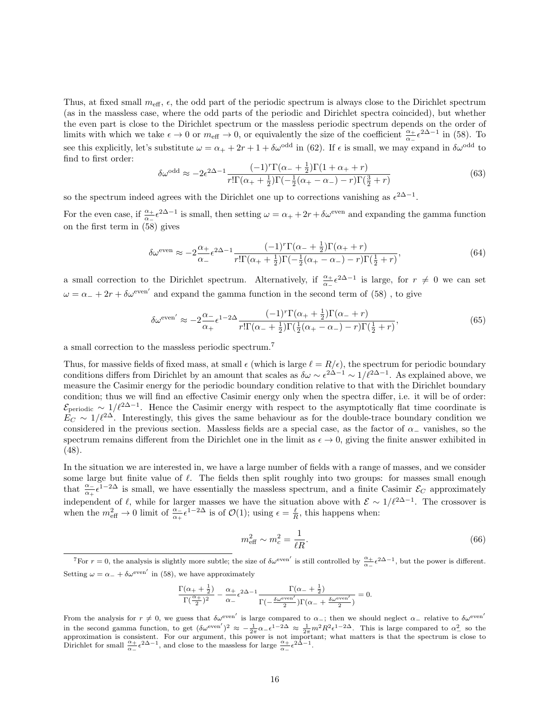Thus, at fixed small  $m_{\text{eff}}$ ,  $\epsilon$ , the odd part of the periodic spectrum is always close to the Dirichlet spectrum (as in the massless case, where the odd parts of the periodic and Dirichlet spectra coincided), but whether the even part is close to the Dirichlet spectrum or the massless periodic spectrum depends on the order of limits with which we take  $\epsilon \to 0$  or  $m_{\text{eff}} \to 0$ , or equivalently the size of the coefficient  $\frac{\alpha_+}{\alpha_-} \epsilon^{2\Delta-1}$  in (58). To see this explicitly, let's substitute  $\omega = \alpha_+ + 2r + 1 + \delta \omega^{\text{odd}}$  in (62). If  $\epsilon$  is small, we may expand in  $\delta \omega^{\text{odd}}$  to find to first order:

$$
\delta\omega^{\text{odd}} \approx -2\epsilon^{2\Delta - 1} \frac{(-1)^r \Gamma(\alpha_- + \frac{1}{2}) \Gamma(1 + \alpha_+ + r)}{r! \Gamma(\alpha_+ + \frac{1}{2}) \Gamma(-\frac{1}{2}(\alpha_+ - \alpha_-) - r) \Gamma(\frac{3}{2} + r)} \tag{63}
$$

so the spectrum indeed agrees with the Dirichlet one up to corrections vanishing as  $\epsilon^{2\Delta-1}$ .

For the even case, if  $\frac{\alpha_+}{\alpha_-} \epsilon^{2\Delta - 1}$  is small, then setting  $\omega = \alpha_+ + 2r + \delta \omega^{\text{even}}$  and expanding the gamma function on the first term in (58) gives

$$
\delta\omega^{\text{even}} \approx -2\frac{\alpha_+}{\alpha_-}\epsilon^{2\Delta-1}\frac{(-1)^r\Gamma(\alpha_-+\frac{1}{2})\Gamma(\alpha_++r)}{r!\Gamma(\alpha_++\frac{1}{2})\Gamma(-\frac{1}{2}(\alpha_+-\alpha_-)-r)\Gamma(\frac{1}{2}+r)},\tag{64}
$$

a small correction to the Dirichlet spectrum. Alternatively, if  $\frac{\alpha_+}{\alpha_-} \epsilon^{2\Delta-1}$  is large, for  $r \neq 0$  we can set  $\omega = \alpha_{-} + 2r + \delta \omega^{\text{even}}'$  and expand the gamma function in the second term of (58), to give

$$
\delta\omega^{\text{even}'} \approx -2\frac{\alpha_{-}}{\alpha_{+}}\epsilon^{1-2\Delta}\frac{(-1)^{r}\Gamma(\alpha_{+}+\frac{1}{2})\Gamma(\alpha_{-}+r)}{r!\Gamma(\alpha_{-}+\frac{1}{2})\Gamma(\frac{1}{2}(\alpha_{+}-\alpha_{-})-r)\Gamma(\frac{1}{2}+r)},\tag{65}
$$

a small correction to the massless periodic spectrum.<sup>7</sup>

Thus, for massive fields of fixed mass, at small  $\epsilon$  (which is large  $\ell = R/\epsilon$ ), the spectrum for periodic boundary conditions differs from Dirichlet by an amount that scales as  $\delta\omega \sim \epsilon^{2\Delta-1} \sim 1/\ell^{2\Delta-1}$ . As explained above, we measure the Casimir energy for the periodic boundary condition relative to that with the Dirichlet boundary condition; thus we will find an effective Casimir energy only when the spectra differ, i.e. it will be of order:  $\mathcal{E}_{\text{periodic}} \sim 1/\ell^{2\Delta-1}$ . Hence the Casimir energy with respect to the asymptotically flat time coordinate is  $E_C \sim 1/\ell^{2\Delta}$ . Interestingly, this gives the same behaviour as for the double-trace boundary condition we considered in the previous section. Massless fields are a special case, as the factor of  $\alpha_-\$  vanishes, so the spectrum remains different from the Dirichlet one in the limit as  $\epsilon \to 0$ , giving the finite answer exhibited in (48).

In the situation we are interested in, we have a large number of fields with a range of masses, and we consider some large but finite value of  $\ell$ . The fields then split roughly into two groups: for masses small enough that  $\frac{\alpha}{\alpha_1}e^{1-2\Delta}$  is small, we have essentially the massless spectrum, and a finite Casimir  $\mathcal{E}_C$  approximately independent of  $\ell$ , while for larger masses we have the situation above with  $\mathcal{E} \sim 1/\ell^{2\Delta-1}$ . The crossover is when the  $m_{\text{eff}}^2 \to 0$  limit of  $\frac{\alpha}{\alpha + \epsilon} i^{-2\Delta}$  is of  $\mathcal{O}(1)$ ; using  $\epsilon = \frac{\ell}{R}$ , this happens when:

$$
m_{\text{eff}}^2 \sim m_c^2 = \frac{1}{\ell R}.\tag{66}
$$

$$
\frac{\Gamma(\alpha_++\frac{1}{2})}{\Gamma(\frac{\alpha_+}{2})^2}-\frac{\alpha_+}{\alpha_-}\epsilon^{2\Delta-1}\frac{\Gamma(\alpha_-+\frac{1}{2})}{\Gamma(-\frac{\delta\omega^{\rm even'}}{2})\Gamma(\alpha_-+\frac{\delta\omega^{\rm even'}}{2})}=0.
$$

<sup>&</sup>lt;sup>7</sup>For  $r = 0$ , the analysis is slightly more subtle; the size of  $\delta \omega^{\text{even}}'$  is still controlled by  $\frac{\alpha_+}{\alpha_-} \epsilon^{2\Delta - 1}$ , but the power is different. Setting  $\omega = \alpha_{-} + \delta \omega^{\text{even}}'$  in (58), we have approximately

From the analysis for  $r \neq 0$ , we guess that  $\delta \omega^{\text{even}}'$  is large compared to  $\alpha_-$ ; then we should neglect  $\alpha_-$  relative to  $\delta \omega^{\text{even}}'$ in the second gamma function, to get  $(\delta \omega^{\text{even}})^2 \approx -\frac{1}{2\pi} \alpha_{-} \epsilon^{1-2\Delta} \approx \frac{1}{2\pi} m^2 R^2 \epsilon^{1-2\Delta}$ . This is large compared to  $\alpha_{-}^2$  so the approximation is consistent. For our argument, this power is not importan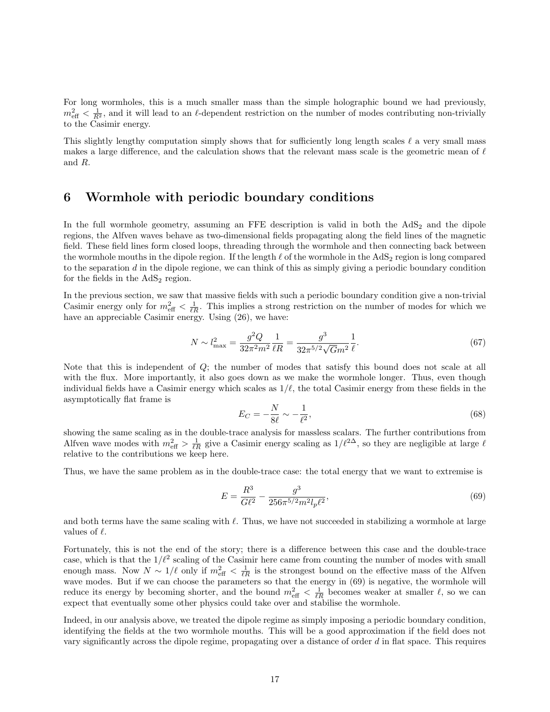For long wormholes, this is a much smaller mass than the simple holographic bound we had previously,  $m_{\text{eff}}^2 < \frac{1}{R^2}$ , and it will lead to an  $\ell$ -dependent restriction on the number of modes contributing non-trivially to the Casimir energy.

This slightly lengthy computation simply shows that for sufficiently long length scales  $\ell$  a very small mass makes a large difference, and the calculation shows that the relevant mass scale is the geometric mean of  $\ell$ and R.

## 6 Wormhole with periodic boundary conditions

In the full wormhole geometry, assuming an FFE description is valid in both the  $AdS<sub>2</sub>$  and the dipole regions, the Alfven waves behave as two-dimensional fields propagating along the field lines of the magnetic field. These field lines form closed loops, threading through the wormhole and then connecting back between the wormhole mouths in the dipole region. If the length  $\ell$  of the wormhole in the AdS<sub>2</sub> region is long compared to the separation  $d$  in the dipole regione, we can think of this as simply giving a periodic boundary condition for the fields in the  $AdS<sub>2</sub>$  region.

In the previous section, we saw that massive fields with such a periodic boundary condition give a non-trivial Casimir energy only for  $m_{\text{eff}}^2 < \frac{1}{\ell R}$ . This implies a strong restriction on the number of modes for which we have an appreciable Casimir energy. Using  $(26)$ , we have:

$$
N \sim l_{\text{max}}^2 = \frac{g^2 Q}{32\pi^2 m^2} \frac{1}{\ell R} = \frac{g^3}{32\pi^{5/2} \sqrt{G} m^2} \frac{1}{\ell}.
$$
 (67)

Note that this is independent of  $Q$ ; the number of modes that satisfy this bound does not scale at all with the flux. More importantly, it also goes down as we make the wormhole longer. Thus, even though individual fields have a Casimir energy which scales as  $1/\ell$ , the total Casimir energy from these fields in the asymptotically flat frame is

$$
E_C = -\frac{N}{8\ell} \sim -\frac{1}{\ell^2},\tag{68}
$$

showing the same scaling as in the double-trace analysis for massless scalars. The further contributions from Alfven wave modes with  $m_{\text{eff}}^2 > \frac{1}{\ell R}$  give a Casimir energy scaling as  $1/\ell^{2\Delta}$ , so they are negligible at large  $\ell$ relative to the contributions we keep here.

Thus, we have the same problem as in the double-trace case: the total energy that we want to extremise is

$$
E = \frac{R^3}{G\ell^2} - \frac{g^3}{256\pi^{5/2}m^2l_p\ell^2},\tag{69}
$$

and both terms have the same scaling with  $\ell$ . Thus, we have not succeeded in stabilizing a wormhole at large values of  $\ell$ .

Fortunately, this is not the end of the story; there is a difference between this case and the double-trace case, which is that the  $1/\ell^2$  scaling of the Casimir here came from counting the number of modes with small enough mass. Now  $N \sim 1/\ell$  only if  $m_{\text{eff}}^2 < \frac{1}{\ell R}$  is the strongest bound on the effective mass of the Alfven wave modes. But if we can choose the parameters so that the energy in (69) is negative, the wormhole will reduce its energy by becoming shorter, and the bound  $m_{\text{eff}}^2 < \frac{1}{\ell R}$  becomes weaker at smaller  $\ell$ , so we can expect that eventually some other physics could take over and stabilise the wormhole.

Indeed, in our analysis above, we treated the dipole regime as simply imposing a periodic boundary condition, identifying the fields at the two wormhole mouths. This will be a good approximation if the field does not vary significantly across the dipole regime, propagating over a distance of order  $d$  in flat space. This requires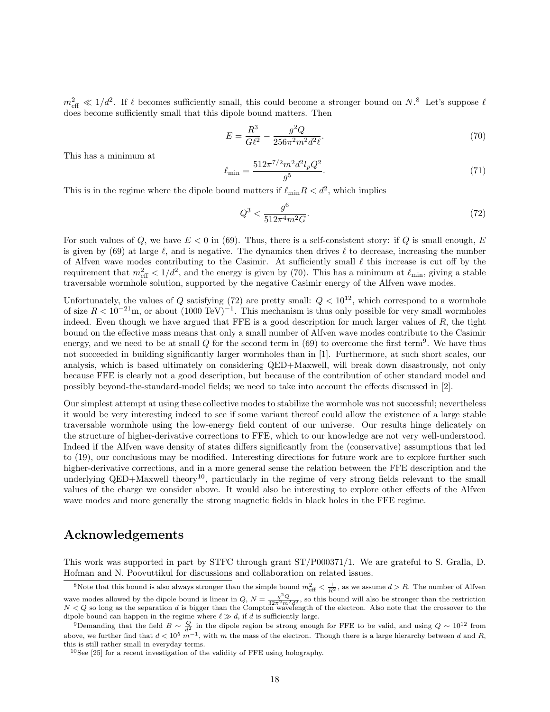$m_{\text{eff}}^2 \ll 1/d^2$ . If  $\ell$  becomes sufficiently small, this could become a stronger bound on  $N$ .<sup>8</sup> Let's suppose  $\ell$ does become sufficiently small that this dipole bound matters. Then

$$
E = \frac{R^3}{G\ell^2} - \frac{g^2 Q}{256\pi^2 m^2 d^2 \ell}.
$$
\n(70)

This has a minimum at

$$
\ell_{\rm min} = \frac{512\pi^{7/2}m^2d^2l_pQ^2}{g^5}.\tag{71}
$$

This is in the regime where the dipole bound matters if  $\ell_{\min}R < d^2$ , which implies

$$
Q^3 < \frac{g^6}{512\pi^4 m^2 G}.\tag{72}
$$

For such values of Q, we have  $E < 0$  in (69). Thus, there is a self-consistent story: if Q is small enough, E is given by (69) at large  $\ell$ , and is negative. The dynamics then drives  $\ell$  to decrease, increasing the number of Alfven wave modes contributing to the Casimir. At sufficiently small  $\ell$  this increase is cut off by the requirement that  $m_{\text{eff}}^2 < 1/d^2$ , and the energy is given by (70). This has a minimum at  $\ell_{\text{min}}$ , giving a stable traversable wormhole solution, supported by the negative Casimir energy of the Alfven wave modes.

Unfortunately, the values of Q satisfying (72) are pretty small:  $Q < 10^{12}$ , which correspond to a wormhole of size  $R < 10^{-21}$ m, or about  $(1000 \text{ TeV})^{-1}$ . This mechanism is thus only possible for very small wormholes indeed. Even though we have argued that FFE is a good description for much larger values of  $R$ , the tight bound on the effective mass means that only a small number of Alfven wave modes contribute to the Casimir energy, and we need to be at small Q for the second term in  $(69)$  to overcome the first term<sup>9</sup>. We have thus not succeeded in building significantly larger wormholes than in [1]. Furthermore, at such short scales, our analysis, which is based ultimately on considering QED+Maxwell, will break down disastrously, not only because FFE is clearly not a good description, but because of the contribution of other standard model and possibly beyond-the-standard-model fields; we need to take into account the effects discussed in [2].

Our simplest attempt at using these collective modes to stabilize the wormhole was not successful; nevertheless it would be very interesting indeed to see if some variant thereof could allow the existence of a large stable traversable wormhole using the low-energy field content of our universe. Our results hinge delicately on the structure of higher-derivative corrections to FFE, which to our knowledge are not very well-understood. Indeed if the Alfven wave density of states differs significantly from the (conservative) assumptions that led to (19), our conclusions may be modified. Interesting directions for future work are to explore further such higher-derivative corrections, and in a more general sense the relation between the FFE description and the underlying QED+Maxwell theory<sup>10</sup>, particularly in the regime of very strong fields relevant to the small values of the charge we consider above. It would also be interesting to explore other effects of the Alfven wave modes and more generally the strong magnetic fields in black holes in the FFE regime.

### Acknowledgements

This work was supported in part by STFC through grant ST/P000371/1. We are grateful to S. Gralla, D. Hofman and N. Poovuttikul for discussions and collaboration on related issues.

<sup>&</sup>lt;sup>8</sup>Note that this bound is also always stronger than the simple bound  $m_{\text{eff}}^2 < \frac{1}{R^2}$ , as we assume  $d > R$ . The number of Alfven wave modes allowed by the dipole bound is linear in  $Q$ ,  $N = \frac{g^2 Q}{32\pi^2 m^2 d^2}$ , so this bound will also be stronger than the restriction  $N < Q$  so long as the separation d is bigger than the Compton wavelength of the electron. Also note that the crossover to the dipole bound can happen in the regime where  $\ell \gg d$ , if d is sufficiently large.

<sup>&</sup>lt;sup>9</sup>Demanding that the field  $B \sim \frac{Q}{d^2}$  in the dipole region be strong enough for FFE to be valid, and using  $Q \sim 10^{12}$  from above, we further find that  $d < 10^5 m^{-1}$ , with m the mass of the electron. Though there is a large hierarchy between d and R, this is still rather small in everyday terms.

<sup>10</sup>See [25] for a recent investigation of the validity of FFE using holography.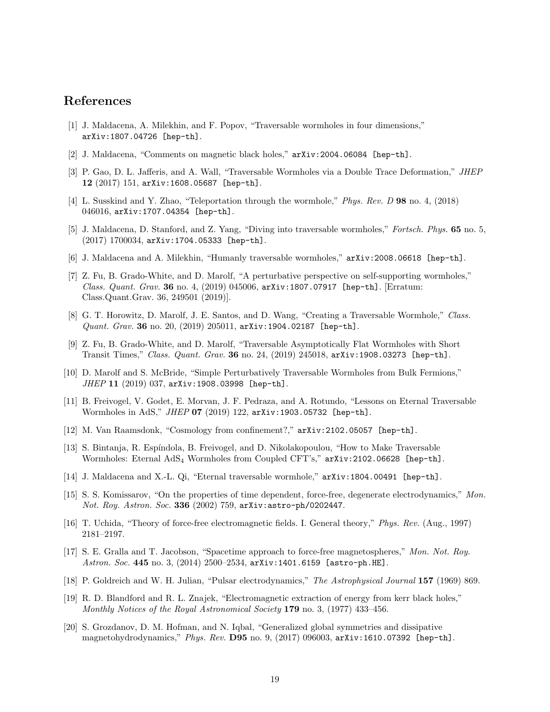### References

- [1] J. Maldacena, A. Milekhin, and F. Popov, "Traversable wormholes in four dimensions," arXiv:1807.04726 [hep-th].
- [2] J. Maldacena, "Comments on magnetic black holes," arXiv:2004.06084 [hep-th].
- [3] P. Gao, D. L. Jafferis, and A. Wall, "Traversable Wormholes via a Double Trace Deformation," JHEP 12 (2017) 151, arXiv:1608.05687 [hep-th].
- [4] L. Susskind and Y. Zhao, "Teleportation through the wormhole," Phys. Rev. D 98 no. 4, (2018) 046016, arXiv:1707.04354 [hep-th].
- [5] J. Maldacena, D. Stanford, and Z. Yang, "Diving into traversable wormholes," Fortsch. Phys. 65 no. 5,  $(2017)$  1700034, arXiv:1704.05333 [hep-th].
- [6] J. Maldacena and A. Milekhin, "Humanly traversable wormholes," arXiv:2008.06618 [hep-th].
- [7] Z. Fu, B. Grado-White, and D. Marolf, "A perturbative perspective on self-supporting wormholes," Class. Quant. Grav. 36 no. 4, (2019) 045006, arXiv:1807.07917 [hep-th]. [Erratum: Class.Quant.Grav. 36, 249501 (2019)].
- [8] G. T. Horowitz, D. Marolf, J. E. Santos, and D. Wang, "Creating a Traversable Wormhole," Class. Quant. Grav. 36 no. 20, (2019) 205011, arXiv:1904.02187 [hep-th].
- [9] Z. Fu, B. Grado-White, and D. Marolf, "Traversable Asymptotically Flat Wormholes with Short Transit Times," Class. Quant. Grav. 36 no. 24,  $(2019)$  245018,  $arXiv:1908.03273$  [hep-th].
- [10] D. Marolf and S. McBride, "Simple Perturbatively Traversable Wormholes from Bulk Fermions,"  $JHEP$  11 (2019) 037, arXiv:1908.03998 [hep-th].
- [11] B. Freivogel, V. Godet, E. Morvan, J. F. Pedraza, and A. Rotundo, "Lessons on Eternal Traversable Wormholes in AdS,"  $JHEP$  07 (2019) 122,  $arXiv:1903.05732$  [hep-th].
- [12] M. Van Raamsdonk, "Cosmology from confinement?," arXiv:2102.05057 [hep-th].
- [13] S. Bintanja, R. Esp´ındola, B. Freivogel, and D. Nikolakopoulou, "How to Make Traversable Wormholes: Eternal AdS<sub>4</sub> Wormholes from Coupled CFT's," arXiv:2102.06628 [hep-th].
- [14] J. Maldacena and X.-L. Qi, "Eternal traversable wormhole," arXiv:1804.00491 [hep-th].
- [15] S. S. Komissarov, "On the properties of time dependent, force-free, degenerate electrodynamics," Mon. Not. Roy. Astron. Soc. 336 (2002) 759, arXiv: astro-ph/0202447.
- [16] T. Uchida, "Theory of force-free electromagnetic fields. I. General theory," Phys. Rev. (Aug., 1997) 2181–2197.
- [17] S. E. Gralla and T. Jacobson, "Spacetime approach to force-free magnetospheres," Mon. Not. Roy. Astron. Soc. 445 no. 3, (2014) 2500-2534, arXiv:1401.6159 [astro-ph.HE].
- [18] P. Goldreich and W. H. Julian, "Pulsar electrodynamics," The Astrophysical Journal 157 (1969) 869.
- [19] R. D. Blandford and R. L. Znajek, "Electromagnetic extraction of energy from kerr black holes," Monthly Notices of the Royal Astronomical Society **179** no. 3,  $(1977)$  433–456.
- [20] S. Grozdanov, D. M. Hofman, and N. Iqbal, "Generalized global symmetries and dissipative magnetohydrodynamics," Phys. Rev. D95 no. 9,  $(2017)$  096003, arXiv:1610.07392 [hep-th].